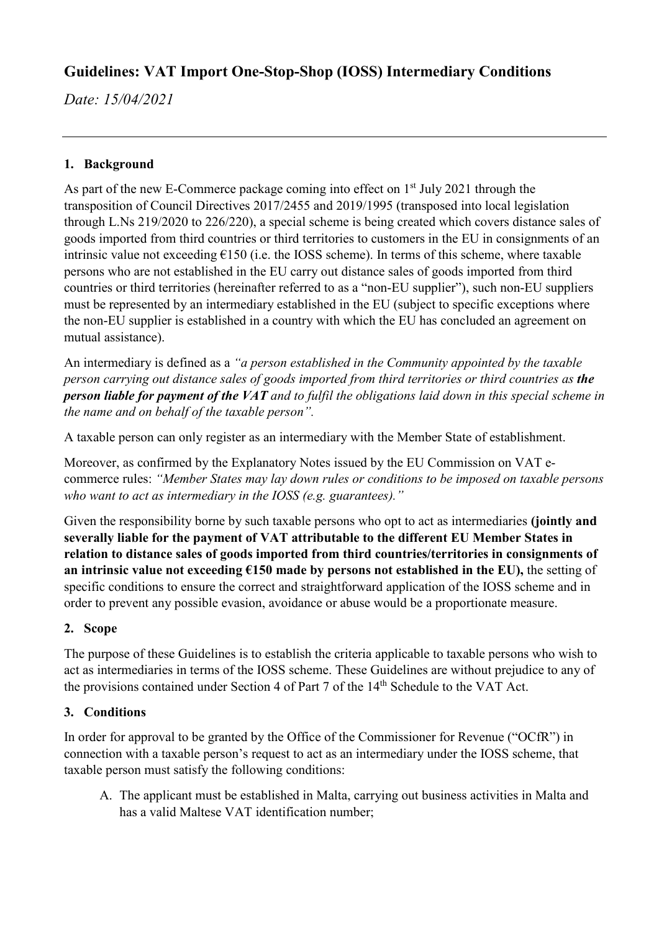# **Guidelines: VAT Import One-Stop-Shop (IOSS) Intermediary Conditions**

*Date: 15/04/2021*

## **1. Background**

As part of the new E-Commerce package coming into effect on  $1<sup>st</sup>$  July 2021 through the transposition of Council Directives 2017/2455 and 2019/1995 (transposed into local legislation through L.Ns 219/2020 to 226/220), a special scheme is being created which covers distance sales of goods imported from third countries or third territories to customers in the EU in consignments of an intrinsic value not exceeding  $E150$  (i.e. the IOSS scheme). In terms of this scheme, where taxable persons who are not established in the EU carry out distance sales of goods imported from third countries or third territories (hereinafter referred to as a "non-EU supplier"), such non-EU suppliers must be represented by an intermediary established in the EU (subject to specific exceptions where the non-EU supplier is established in a country with which the EU has concluded an agreement on mutual assistance).

An intermediary is defined as a *"a person established in the Community appointed by the taxable person carrying out distance sales of goods imported from third territories or third countries as the person liable for payment of the VAT and to fulfil the obligations laid down in this special scheme in the name and on behalf of the taxable person".*

A taxable person can only register as an intermediary with the Member State of establishment.

Moreover, as confirmed by the Explanatory Notes issued by the EU Commission on VAT ecommerce rules: *"Member States may lay down rules or conditions to be imposed on taxable persons who want to act as intermediary in the IOSS (e.g. guarantees)."*

Given the responsibility borne by such taxable persons who opt to act as intermediaries **(jointly and severally liable for the payment of VAT attributable to the different EU Member States in relation to distance sales of goods imported from third countries/territories in consignments of an intrinsic value not exceeding €150 made by persons not established in the EU),** the setting of specific conditions to ensure the correct and straightforward application of the IOSS scheme and in order to prevent any possible evasion, avoidance or abuse would be a proportionate measure.

## **2. Scope**

The purpose of these Guidelines is to establish the criteria applicable to taxable persons who wish to act as intermediaries in terms of the IOSS scheme. These Guidelines are without prejudice to any of the provisions contained under Section 4 of Part 7 of the 14<sup>th</sup> Schedule to the VAT Act.

## **3. Conditions**

In order for approval to be granted by the Office of the Commissioner for Revenue ("OCfR") in connection with a taxable person's request to act as an intermediary under the IOSS scheme, that taxable person must satisfy the following conditions:

A. The applicant must be established in Malta, carrying out business activities in Malta and has a valid Maltese VAT identification number;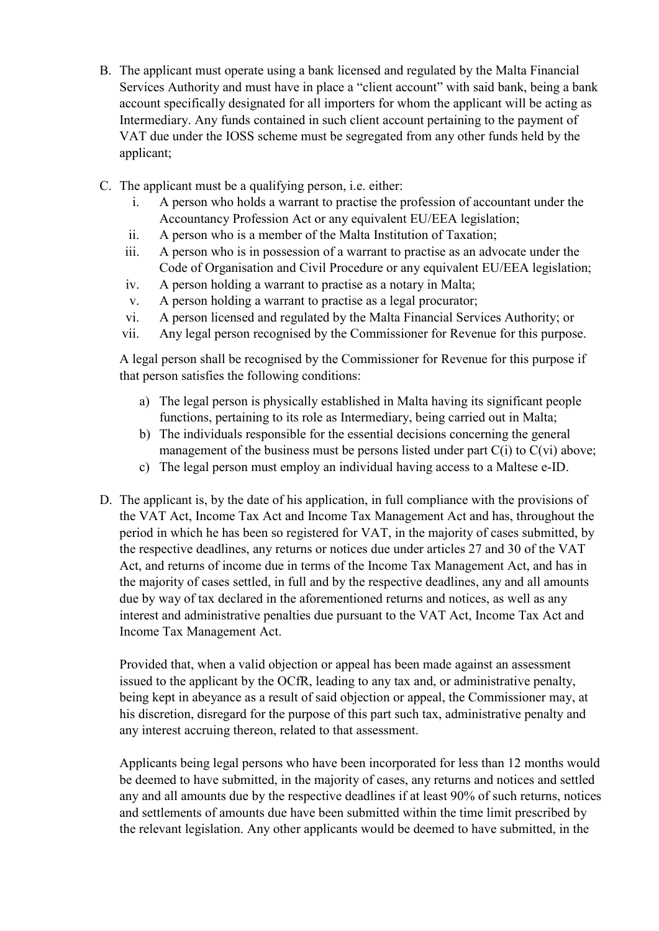- B. The applicant must operate using a bank licensed and regulated by the Malta Financial Services Authority and must have in place a "client account" with said bank, being a bank account specifically designated for all importers for whom the applicant will be acting as Intermediary. Any funds contained in such client account pertaining to the payment of VAT due under the IOSS scheme must be segregated from any other funds held by the applicant;
- C. The applicant must be a qualifying person, i.e. either:
	- i. A person who holds a warrant to practise the profession of accountant under the Accountancy Profession Act or any equivalent EU/EEA legislation;
	- ii. A person who is a member of the Malta Institution of Taxation;
	- iii. A person who is in possession of a warrant to practise as an advocate under the Code of Organisation and Civil Procedure or any equivalent EU/EEA legislation;
	- iv. A person holding a warrant to practise as a notary in Malta;
	- v. A person holding a warrant to practise as a legal procurator;
	- vi. A person licensed and regulated by the Malta Financial Services Authority; or
	- vii. Any legal person recognised by the Commissioner for Revenue for this purpose.

A legal person shall be recognised by the Commissioner for Revenue for this purpose if that person satisfies the following conditions:

- a) The legal person is physically established in Malta having its significant people functions, pertaining to its role as Intermediary, being carried out in Malta;
- b) The individuals responsible for the essential decisions concerning the general management of the business must be persons listed under part  $C(i)$  to  $C(vi)$  above;
- c) The legal person must employ an individual having access to a Maltese e-ID.
- D. The applicant is, by the date of his application, in full compliance with the provisions of the VAT Act, Income Tax Act and Income Tax Management Act and has, throughout the period in which he has been so registered for VAT, in the majority of cases submitted, by the respective deadlines, any returns or notices due under articles 27 and 30 of the VAT Act, and returns of income due in terms of the Income Tax Management Act, and has in the majority of cases settled, in full and by the respective deadlines, any and all amounts due by way of tax declared in the aforementioned returns and notices, as well as any interest and administrative penalties due pursuant to the VAT Act, Income Tax Act and Income Tax Management Act.

Provided that, when a valid objection or appeal has been made against an assessment issued to the applicant by the OCfR, leading to any tax and, or administrative penalty, being kept in abeyance as a result of said objection or appeal, the Commissioner may, at his discretion, disregard for the purpose of this part such tax, administrative penalty and any interest accruing thereon, related to that assessment.

Applicants being legal persons who have been incorporated for less than 12 months would be deemed to have submitted, in the majority of cases, any returns and notices and settled any and all amounts due by the respective deadlines if at least 90% of such returns, notices and settlements of amounts due have been submitted within the time limit prescribed by the relevant legislation. Any other applicants would be deemed to have submitted, in the